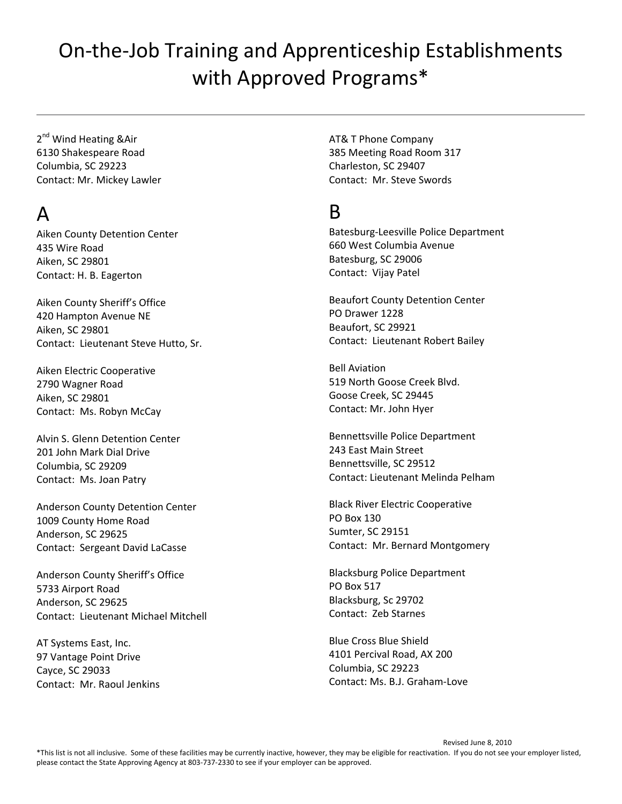2<sup>nd</sup> Wind Heating &Air 6130 Shakespeare Road Columbia, SC 29223 Contact: Mr. Mickey Lawler

### A

Aiken County Detention Center 435 Wire Road Aiken, SC 29801 Contact: H. B. Eagerton

Aiken County Sheriff's Office 420 Hampton Avenue NE Aiken, SC 29801 Contact: Lieutenant Steve Hutto, Sr.

Aiken Electric Cooperative 2790 Wagner Road Aiken, SC 29801 Contact: Ms. Robyn McCay

Alvin S. Glenn Detention Center 201 John Mark Dial Drive Columbia, SC 29209 Contact: Ms. Joan Patry

Anderson County Detention Center 1009 County Home Road Anderson, SC 29625 Contact: Sergeant David LaCasse

Anderson County Sheriff's Office 5733 Airport Road Anderson, SC 29625 Contact: Lieutenant Michael Mitchell

AT Systems East, Inc. 97 Vantage Point Drive Cayce, SC 29033 Contact: Mr. Raoul Jenkins AT& T Phone Company 385 Meeting Road Room 317 Charleston, SC 29407 Contact: Mr. Steve Swords

#### B

Batesburg‐Leesville Police Department 660 West Columbia Avenue Batesburg, SC 29006 Contact: Vijay Patel

Beaufort County Detention Center PO Drawer 1228 Beaufort, SC 29921 Contact: Lieutenant Robert Bailey

Bell Aviation 519 North Goose Creek Blvd. Goose Creek, SC 29445 Contact: Mr. John Hyer

Bennettsville Police Department 243 East Main Street Bennettsville, SC 29512 Contact: Lieutenant Melinda Pelham

Black River Electric Cooperative PO Box 130 Sumter, SC 29151 Contact: Mr. Bernard Montgomery

Blacksburg Police Department PO Box 517 Blacksburg, Sc 29702 Contact: Zeb Starnes

Blue Cross Blue Shield 4101 Percival Road, AX 200 Columbia, SC 29223 Contact: Ms. B.J. Graham‐Love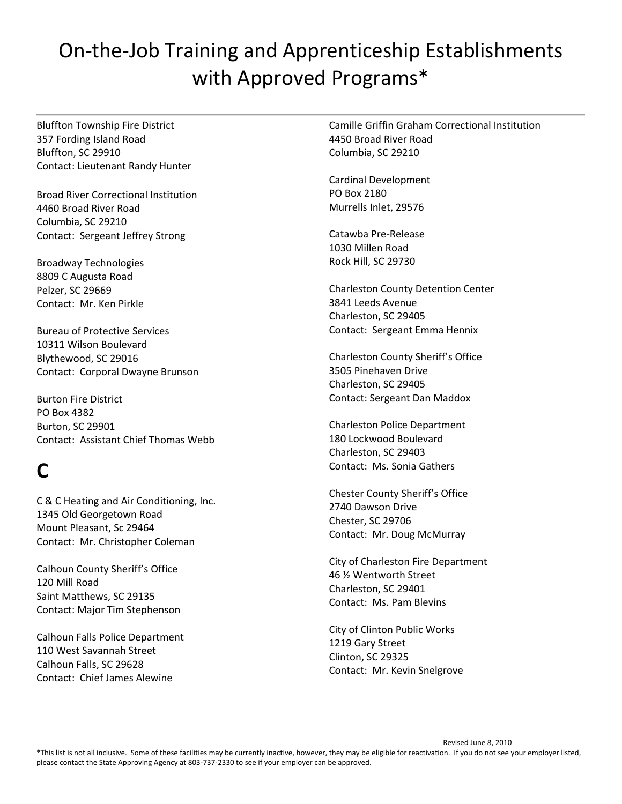Bluffton Township Fire District 357 Fording Island Road Bluffton, SC 29910 Contact: Lieutenant Randy Hunter

Broad River Correctional Institution 4460 Broad River Road Columbia, SC 29210 Contact: Sergeant Jeffrey Strong

Broadway Technologies 8809 C Augusta Road Pelzer, SC 29669 Contact: Mr. Ken Pirkle

Bureau of Protective Services 10311 Wilson Boulevard Blythewood, SC 29016 Contact: Corporal Dwayne Brunson

Burton Fire District PO Box 4382 Burton, SC 29901 Contact: Assistant Chief Thomas Webb

# **C**

C & C Heating and Air Conditioning, Inc. 1345 Old Georgetown Road Mount Pleasant, Sc 29464 Contact: Mr. Christopher Coleman

Calhoun County Sheriff's Office 120 Mill Road Saint Matthews, SC 29135 Contact: Major Tim Stephenson

Calhoun Falls Police Department 110 West Savannah Street Calhoun Falls, SC 29628 Contact: Chief James Alewine

Camille Griffin Graham Correctional Institution 4450 Broad River Road Columbia, SC 29210

Cardinal Development PO Box 2180 Murrells Inlet, 29576

Catawba Pre‐Release 1030 Millen Road Rock Hill, SC 29730

Charleston County Detention Center 3841 Leeds Avenue Charleston, SC 29405 Contact: Sergeant Emma Hennix

Charleston County Sheriff's Office 3505 Pinehaven Drive Charleston, SC 29405 Contact: Sergeant Dan Maddox

Charleston Police Department 180 Lockwood Boulevard Charleston, SC 29403 Contact: Ms. Sonia Gathers

Chester County Sheriff's Office 2740 Dawson Drive Chester, SC 29706 Contact: Mr. Doug McMurray

City of Charleston Fire Department 46 ½ Wentworth Street Charleston, SC 29401 Contact: Ms. Pam Blevins

City of Clinton Public Works 1219 Gary Street Clinton, SC 29325 Contact: Mr. Kevin Snelgrove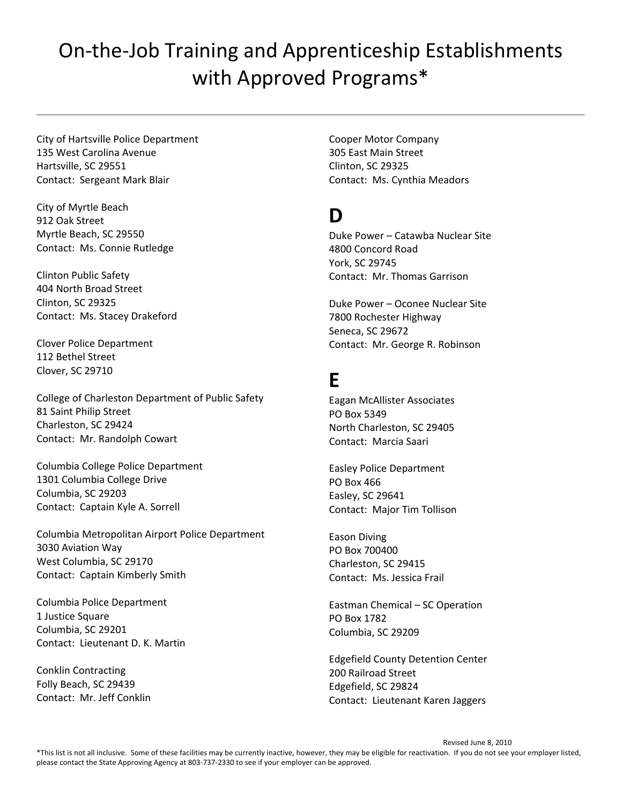City of Hartsville Police Department 135 West Carolina Avenue Hartsville, SC 29551 Contact: Sergeant Mark Blair

City of Myrtle Beach 912 Oak Street Myrtle Beach, SC 29550 Contact: Ms. Connie Rutledge

Clinton Public Safety 404 North Broad Street Clinton, SC 29325 Contact: Ms. Stacey Drakeford

Clover Police Department 112 Bethel Street Clover, SC 29710

College of Charleston Department of Public Safety 81 Saint Philip Street Charleston, SC 29424 Contact: Mr. Randolph Cowart

Columbia College Police Department 1301 Columbia College Drive Columbia, SC 29203 Contact: Captain Kyle A. Sorrell

Columbia Metropolitan Airport Police Department 3030 Aviation Way West Columbia, SC 29170 Contact: Captain Kimberly Smith

Columbia Police Department 1 Justice Square Columbia, SC 29201 Contact: Lieutenant D. K. Martin

Conklin Contracting Folly Beach, SC 29439 Contact: Mr. Jeff Conklin Cooper Motor Company 305 East Main Street Clinton, SC 29325 Contact: Ms. Cynthia Meadors

#### **D**

Duke Power – Catawba Nuclear Site 4800 Concord Road York, SC 29745 Contact: Mr. Thomas Garrison

Duke Power – Oconee Nuclear Site 7800 Rochester Highway Seneca, SC 29672 Contact: Mr. George R. Robinson

#### **E**

Eagan McAllister Associates PO Box 5349 North Charleston, SC 29405 Contact: Marcia Saari

Easley Police Department PO Box 466 Easley, SC 29641 Contact: Major Tim Tollison

Eason Diving PO Box 700400 Charleston, SC 29415 Contact: Ms. Jessica Frail

Eastman Chemical – SC Operation PO Box 1782 Columbia, SC 29209

Edgefield County Detention Center 200 Railroad Street Edgefield, SC 29824 Contact: Lieutenant Karen Jaggers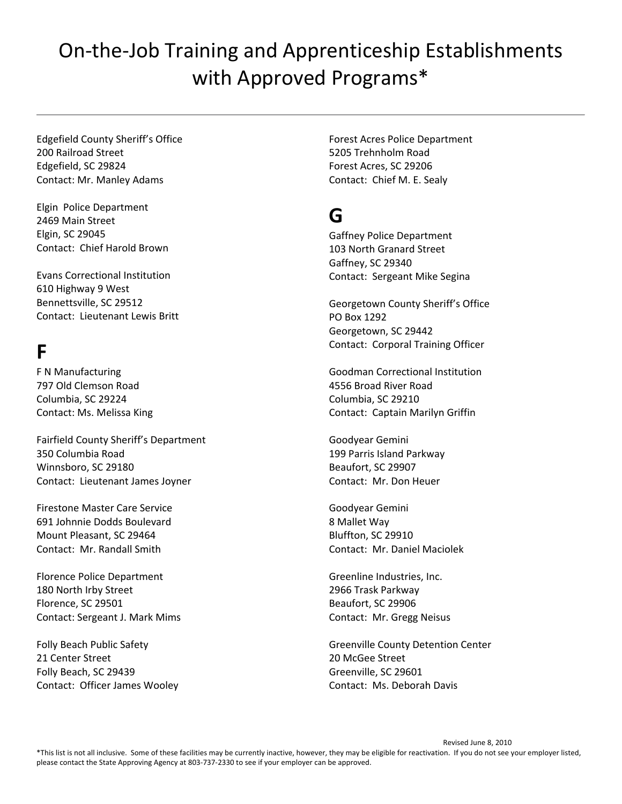Edgefield County Sheriff's Office 200 Railroad Street Edgefield, SC 29824 Contact: Mr. Manley Adams

Elgin Police Department 2469 Main Street Elgin, SC 29045 Contact: Chief Harold Brown

Evans Correctional Institution 610 Highway 9 West Bennettsville, SC 29512 Contact: Lieutenant Lewis Britt

#### **F**

F N Manufacturing 797 Old Clemson Road Columbia, SC 29224 Contact: Ms. Melissa King

Fairfield County Sheriff's Department 350 Columbia Road Winnsboro, SC 29180 Contact: Lieutenant James Joyner

Firestone Master Care Service 691 Johnnie Dodds Boulevard Mount Pleasant, SC 29464 Contact: Mr. Randall Smith

Florence Police Department 180 North Irby Street Florence, SC 29501 Contact: Sergeant J. Mark Mims

Folly Beach Public Safety 21 Center Street Folly Beach, SC 29439 Contact: Officer James Wooley Forest Acres Police Department 5205 Trehnholm Road Forest Acres, SC 29206 Contact: Chief M. E. Sealy

### **G**

Gaffney Police Department 103 North Granard Street Gaffney, SC 29340 Contact: Sergeant Mike Segina

Georgetown County Sheriff's Office PO Box 1292 Georgetown, SC 29442 Contact: Corporal Training Officer

Goodman Correctional Institution 4556 Broad River Road Columbia, SC 29210 Contact: Captain Marilyn Griffin

Goodyear Gemini 199 Parris Island Parkway Beaufort, SC 29907 Contact: Mr. Don Heuer

Goodyear Gemini 8 Mallet Way Bluffton, SC 29910 Contact: Mr. Daniel Maciolek

Greenline Industries, Inc. 2966 Trask Parkway Beaufort, SC 29906 Contact: Mr. Gregg Neisus

Greenville County Detention Center 20 McGee Street Greenville, SC 29601 Contact: Ms. Deborah Davis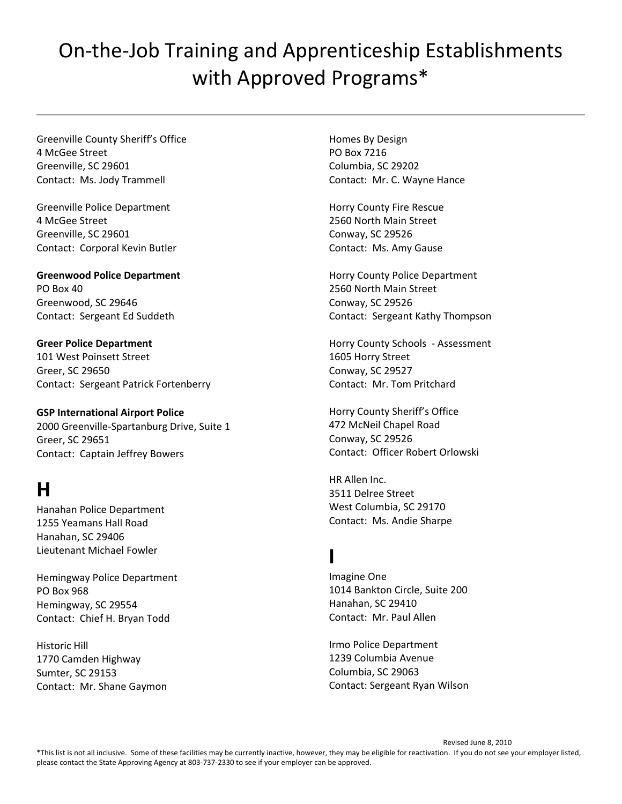Greenville County Sheriff's Office 4 McGee Street Greenville, SC 29601 Contact: Ms. Jody Trammell

Greenville Police Department 4 McGee Street Greenville, SC 29601 Contact: Corporal Kevin Butler

**Greenwood Police Department** PO Box 40 Greenwood, SC 29646 Contact: Sergeant Ed Suddeth

**Greer Police Department** 101 West Poinsett Street Greer, SC 29650 Contact: Sergeant Patrick Fortenberry

**GSP International Airport Police** 2000 Greenville‐Spartanburg Drive, Suite 1 Greer, SC 29651 Contact: Captain Jeffrey Bowers

### **H**

Hanahan Police Department 1255 Yeamans Hall Road Hanahan, SC 29406 Lieutenant Michael Fowler

Hemingway Police Department PO Box 968 Hemingway, SC 29554 Contact: Chief H. Bryan Todd

Historic Hill 1770 Camden Highway Sumter, SC 29153 Contact: Mr. Shane Gaymon Homes By Design PO Box 7216 Columbia, SC 29202 Contact: Mr. C. Wayne Hance

Horry County Fire Rescue 2560 North Main Street Conway, SC 29526 Contact: Ms. Amy Gause

Horry County Police Department 2560 North Main Street Conway, SC 29526 Contact: Sergeant Kathy Thompson

Horry County Schools ‐ Assessment 1605 Horry Street Conway, SC 29527 Contact: Mr. Tom Pritchard

Horry County Sheriff's Office 472 McNeil Chapel Road Conway, SC 29526 Contact: Officer Robert Orlowski

HR Allen Inc. 3511 Delree Street West Columbia, SC 29170 Contact: Ms. Andie Sharpe

#### **I**

Imagine One 1014 Bankton Circle, Suite 200 Hanahan, SC 29410 Contact: Mr. Paul Allen

Irmo Police Department 1239 Columbia Avenue Columbia, SC 29063 Contact: Sergeant Ryan Wilson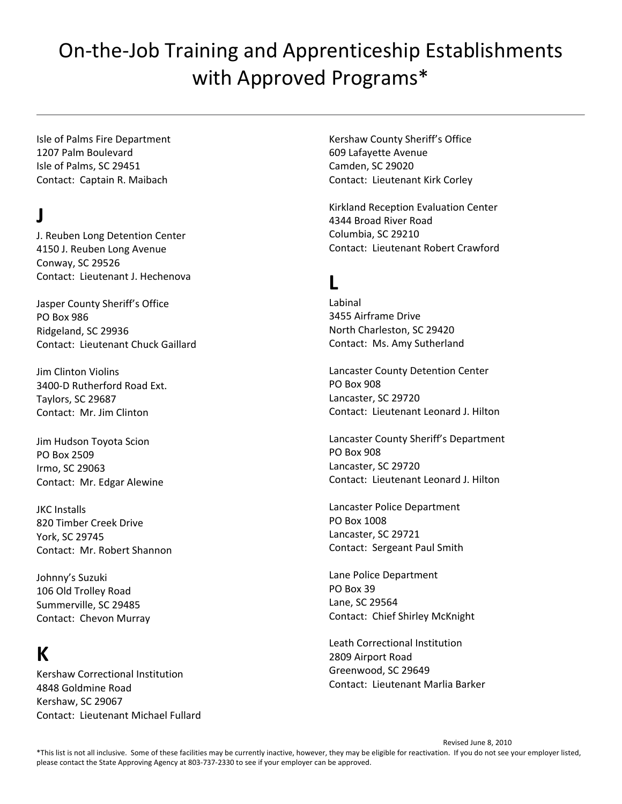Isle of Palms Fire Department 1207 Palm Boulevard Isle of Palms, SC 29451 Contact: Captain R. Maibach

### **J**

J. Reuben Long Detention Center 4150 J. Reuben Long Avenue Conway, SC 29526 Contact: Lieutenant J. Hechenova

Jasper County Sheriff's Office PO Box 986 Ridgeland, SC 29936 Contact: Lieutenant Chuck Gaillard

Jim Clinton Violins 3400‐D Rutherford Road Ext. Taylors, SC 29687 Contact: Mr. Jim Clinton

Jim Hudson Toyota Scion PO Box 2509 Irmo, SC 29063 Contact: Mr. Edgar Alewine

JKC Installs 820 Timber Creek Drive York, SC 29745 Contact: Mr. Robert Shannon

Johnny's Suzuki 106 Old Trolley Road Summerville, SC 29485 Contact: Chevon Murray

#### **K**

Kershaw Correctional Institution 4848 Goldmine Road Kershaw, SC 29067 Contact: Lieutenant Michael Fullard

Kershaw County Sheriff's Office 609 Lafayette Avenue Camden, SC 29020 Contact: Lieutenant Kirk Corley

Kirkland Reception Evaluation Center 4344 Broad River Road Columbia, SC 29210 Contact: Lieutenant Robert Crawford

#### **L**

Labinal 3455 Airframe Drive North Charleston, SC 29420 Contact: Ms. Amy Sutherland

Lancaster County Detention Center PO Box 908 Lancaster, SC 29720 Contact: Lieutenant Leonard J. Hilton

Lancaster County Sheriff's Department PO Box 908 Lancaster, SC 29720 Contact: Lieutenant Leonard J. Hilton

Lancaster Police Department PO Box 1008 Lancaster, SC 29721 Contact: Sergeant Paul Smith

Lane Police Department PO Box 39 Lane, SC 29564 Contact: Chief Shirley McKnight

Leath Correctional Institution 2809 Airport Road Greenwood, SC 29649 Contact: Lieutenant Marlia Barker

 Revised June 8, 2010 \*This list is not all inclusive. Some of these facilities may be currently inactive, however, they may be eligible for reactivation. If you do not see your employer listed, please contact the State Approving Agency at 803‐737‐2330 to see if your employer can be approved.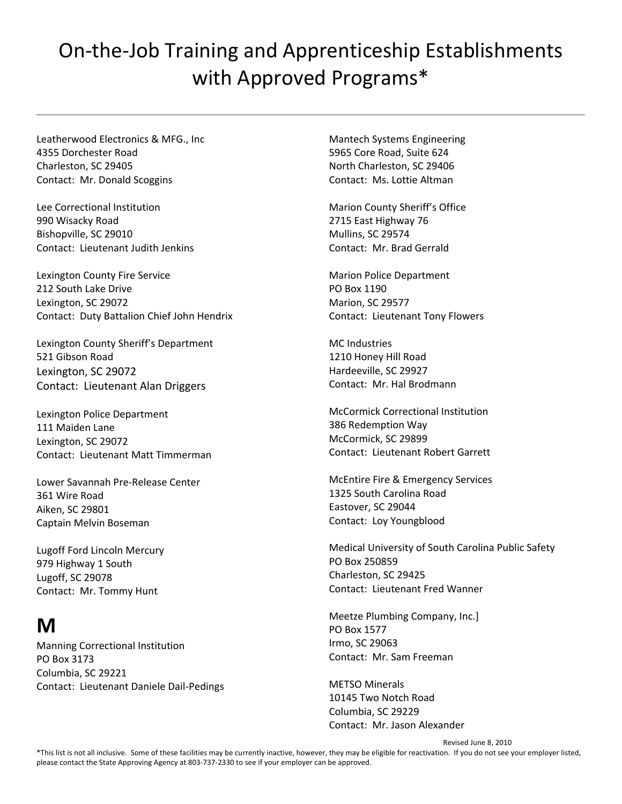Leatherwood Electronics & MFG., Inc 4355 Dorchester Road Charleston, SC 29405 Contact: Mr. Donald Scoggins

Lee Correctional Institution 990 Wisacky Road Bishopville, SC 29010 Contact: Lieutenant Judith Jenkins

Lexington County Fire Service 212 South Lake Drive Lexington, SC 29072 Contact: Duty Battalion Chief John Hendrix

Lexington County Sheriff's Department 521 Gibson Road Lexington, SC 29072 Contact: Lieutenant Alan Driggers

Lexington Police Department 111 Maiden Lane Lexington, SC 29072 Contact: Lieutenant Matt Timmerman

Lower Savannah Pre‐Release Center 361 Wire Road Aiken, SC 29801 Captain Melvin Boseman

Lugoff Ford Lincoln Mercury 979 Highway 1 South Lugoff, SC 29078 Contact: Mr. Tommy Hunt

### **M**

Manning Correctional Institution PO Box 3173 Columbia, SC 29221 Contact: Lieutenant Daniele Dail‐Pedings

Mantech Systems Engineering 5965 Core Road, Suite 624 North Charleston, SC 29406 Contact: Ms. Lottie Altman

Marion County Sheriff's Office 2715 East Highway 76 Mullins, SC 29574 Contact: Mr. Brad Gerrald

Marion Police Department PO Box 1190 Marion, SC 29577 Contact: Lieutenant Tony Flowers

MC Industries 1210 Honey Hill Road Hardeeville, SC 29927 Contact: Mr. Hal Brodmann

McCormick Correctional Institution 386 Redemption Way McCormick, SC 29899 Contact: Lieutenant Robert Garrett

McEntire Fire & Emergency Services 1325 South Carolina Road Eastover, SC 29044 Contact: Loy Youngblood

Medical University of South Carolina Public Safety PO Box 250859 Charleston, SC 29425 Contact: Lieutenant Fred Wanner

Meetze Plumbing Company, Inc.] PO Box 1577 Irmo, SC 29063 Contact: Mr. Sam Freeman

METSO Minerals 10145 Two Notch Road Columbia, SC 29229 Contact: Mr. Jason Alexander

Revised June 8, 2010

\*This list is not all inclusive. Some of these facilities may be currently inactive, however, they may be eligible for reactivation. If you do not see your employer listed, please contact the State Approving Agency at 803‐737‐2330 to see if your employer can be approved.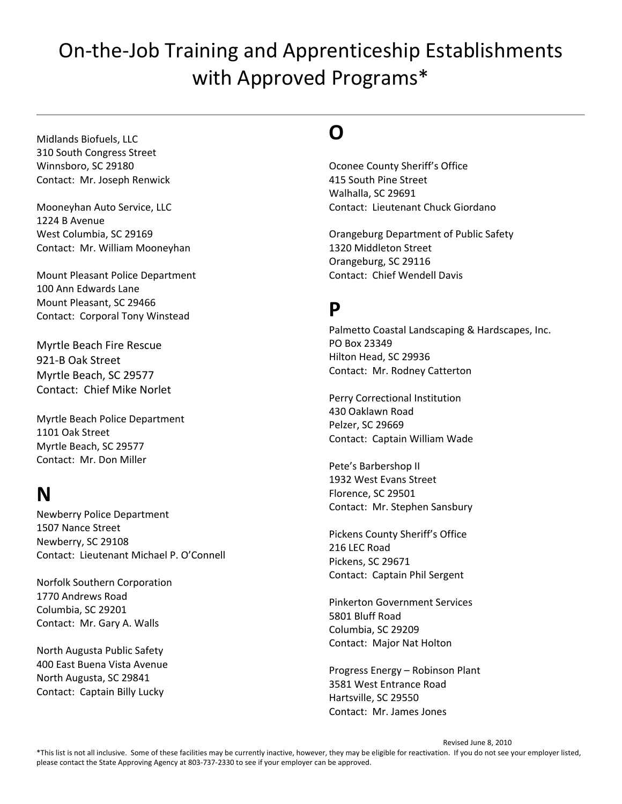Midlands Biofuels, LLC 310 South Congress Street Winnsboro, SC 29180 Contact: Mr. Joseph Renwick

Mooneyhan Auto Service, LLC 1224 B Avenue West Columbia, SC 29169 Contact: Mr. William Mooneyhan

Mount Pleasant Police Department 100 Ann Edwards Lane Mount Pleasant, SC 29466 Contact: Corporal Tony Winstead

Myrtle Beach Fire Rescue 921‐B Oak Street Myrtle Beach, SC 29577 Contact: Chief Mike Norlet

Myrtle Beach Police Department 1101 Oak Street Myrtle Beach, SC 29577 Contact: Mr. Don Miller

#### **N**

Newberry Police Department 1507 Nance Street Newberry, SC 29108 Contact: Lieutenant Michael P. O'Connell

Norfolk Southern Corporation 1770 Andrews Road Columbia, SC 29201 Contact: Mr. Gary A. Walls

North Augusta Public Safety 400 East Buena Vista Avenue North Augusta, SC 29841 Contact: Captain Billy Lucky

### **O**

Oconee County Sheriff's Office 415 South Pine Street Walhalla, SC 29691 Contact: Lieutenant Chuck Giordano

Orangeburg Department of Public Safety 1320 Middleton Street Orangeburg, SC 29116 Contact: Chief Wendell Davis

#### **P**

Palmetto Coastal Landscaping & Hardscapes, Inc. PO Box 23349 Hilton Head, SC 29936 Contact: Mr. Rodney Catterton

Perry Correctional Institution 430 Oaklawn Road Pelzer, SC 29669 Contact: Captain William Wade

Pete's Barbershop II 1932 West Evans Street Florence, SC 29501 Contact: Mr. Stephen Sansbury

Pickens County Sheriff's Office 216 LEC Road Pickens, SC 29671 Contact: Captain Phil Sergent

Pinkerton Government Services 5801 Bluff Road Columbia, SC 29209 Contact: Major Nat Holton

Progress Energy – Robinson Plant 3581 West Entrance Road Hartsville, SC 29550 Contact: Mr. James Jones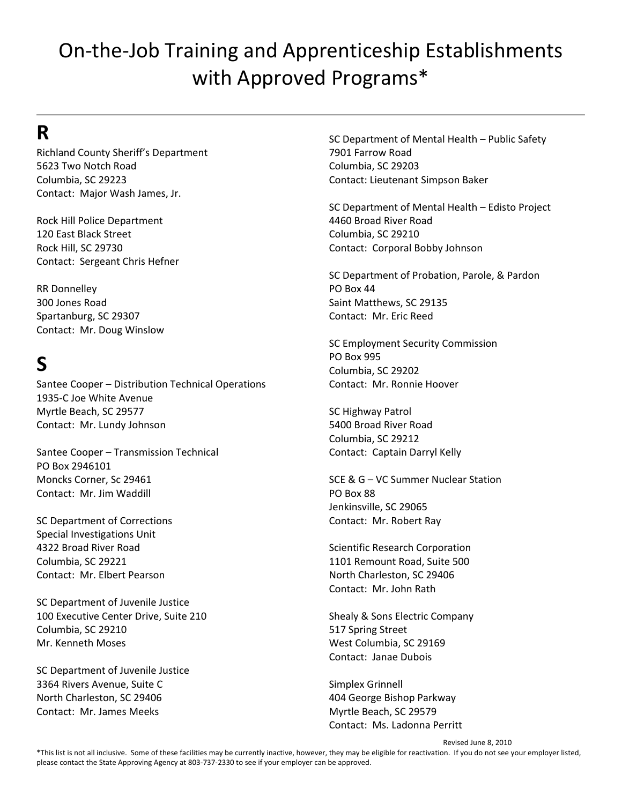#### **R**

Richland County Sheriff's Department 5623 Two Notch Road Columbia, SC 29223 Contact: Major Wash James, Jr.

Rock Hill Police Department 120 East Black Street Rock Hill, SC 29730 Contact: Sergeant Chris Hefner

RR Donnelley 300 Jones Road Spartanburg, SC 29307 Contact: Mr. Doug Winslow

## **S**

Santee Cooper – Distribution Technical Operations 1935‐C Joe White Avenue Myrtle Beach, SC 29577 Contact: Mr. Lundy Johnson

Santee Cooper – Transmission Technical PO Box 2946101 Moncks Corner, Sc 29461 Contact: Mr. Jim Waddill

SC Department of Corrections Special Investigations Unit 4322 Broad River Road Columbia, SC 29221 Contact: Mr. Elbert Pearson

SC Department of Juvenile Justice 100 Executive Center Drive, Suite 210 Columbia, SC 29210 Mr. Kenneth Moses

SC Department of Juvenile Justice 3364 Rivers Avenue, Suite C North Charleston, SC 29406 Contact: Mr. James Meeks

SC Department of Mental Health – Public Safety 7901 Farrow Road Columbia, SC 29203 Contact: Lieutenant Simpson Baker

SC Department of Mental Health – Edisto Project 4460 Broad River Road Columbia, SC 29210 Contact: Corporal Bobby Johnson

SC Department of Probation, Parole, & Pardon PO Box 44 Saint Matthews, SC 29135 Contact: Mr. Eric Reed

SC Employment Security Commission PO Box 995 Columbia, SC 29202 Contact: Mr. Ronnie Hoover

SC Highway Patrol 5400 Broad River Road Columbia, SC 29212 Contact: Captain Darryl Kelly

SCE & G – VC Summer Nuclear Station PO Box 88 Jenkinsville, SC 29065 Contact: Mr. Robert Ray

Scientific Research Corporation 1101 Remount Road, Suite 500 North Charleston, SC 29406 Contact: Mr. John Rath

Shealy & Sons Electric Company 517 Spring Street West Columbia, SC 29169 Contact: Janae Dubois

Simplex Grinnell 404 George Bishop Parkway Myrtle Beach, SC 29579 Contact: Ms. Ladonna Perritt

Revised June 8, 2010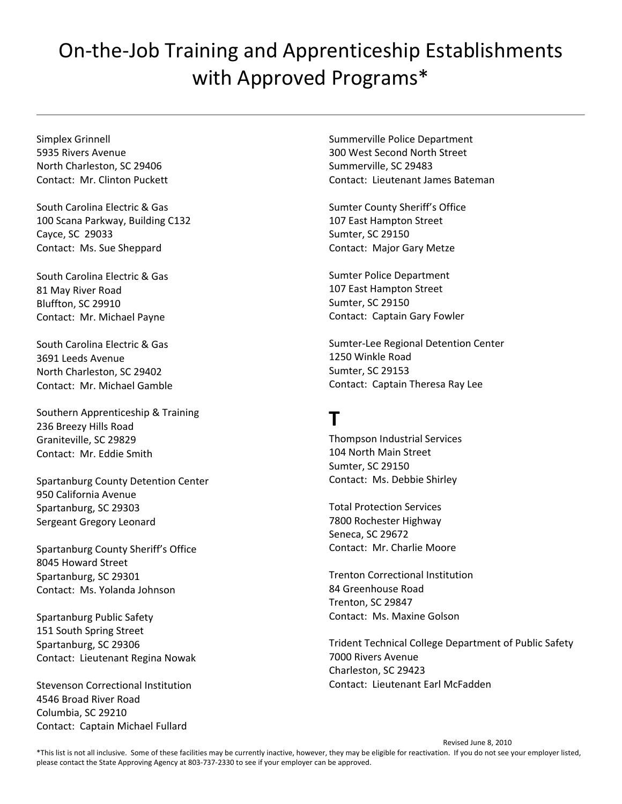Simplex Grinnell 5935 Rivers Avenue North Charleston, SC 29406 Contact: Mr. Clinton Puckett

South Carolina Electric & Gas 100 Scana Parkway, Building C132 Cayce, SC 29033 Contact: Ms. Sue Sheppard

South Carolina Electric & Gas 81 May River Road Bluffton, SC 29910 Contact: Mr. Michael Payne

South Carolina Electric & Gas 3691 Leeds Avenue North Charleston, SC 29402 Contact: Mr. Michael Gamble

Southern Apprenticeship & Training 236 Breezy Hills Road Graniteville, SC 29829 Contact: Mr. Eddie Smith

Spartanburg County Detention Center 950 California Avenue Spartanburg, SC 29303 Sergeant Gregory Leonard

Spartanburg County Sheriff's Office 8045 Howard Street Spartanburg, SC 29301 Contact: Ms. Yolanda Johnson

Spartanburg Public Safety 151 South Spring Street Spartanburg, SC 29306 Contact: Lieutenant Regina Nowak

Stevenson Correctional Institution 4546 Broad River Road Columbia, SC 29210 Contact: Captain Michael Fullard

Summerville Police Department 300 West Second North Street Summerville, SC 29483 Contact: Lieutenant James Bateman

Sumter County Sheriff's Office 107 East Hampton Street Sumter, SC 29150 Contact: Major Gary Metze

Sumter Police Department 107 East Hampton Street Sumter, SC 29150 Contact: Captain Gary Fowler

Sumter‐Lee Regional Detention Center 1250 Winkle Road Sumter, SC 29153 Contact: Captain Theresa Ray Lee

#### **T**

Thompson Industrial Services 104 North Main Street Sumter, SC 29150 Contact: Ms. Debbie Shirley

Total Protection Services 7800 Rochester Highway Seneca, SC 29672 Contact: Mr. Charlie Moore

Trenton Correctional Institution 84 Greenhouse Road Trenton, SC 29847 Contact: Ms. Maxine Golson

Trident Technical College Department of Public Safety 7000 Rivers Avenue Charleston, SC 29423 Contact: Lieutenant Earl McFadden